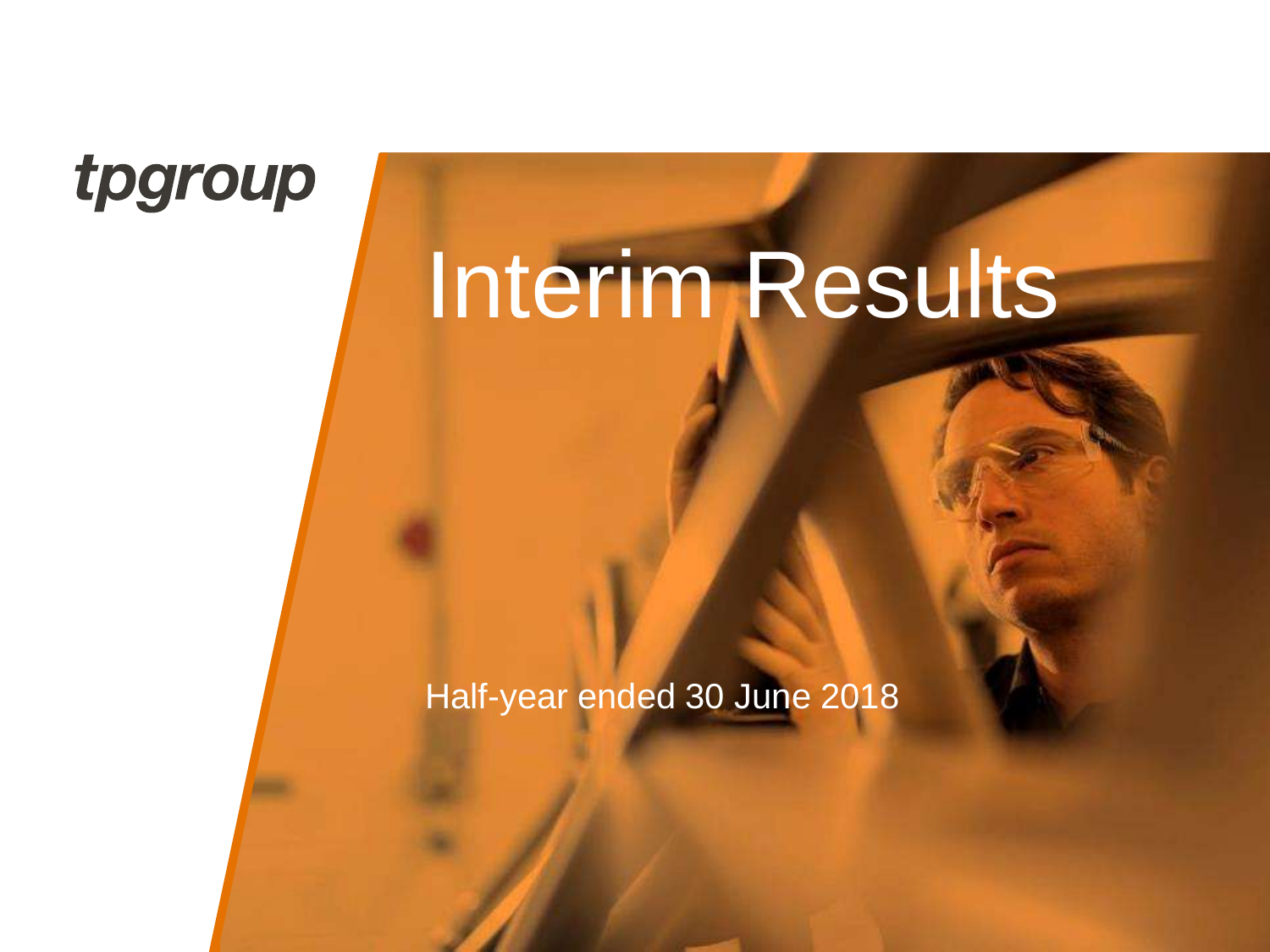### tpgroup

# Interim Results

Half-year ended 30 June 2018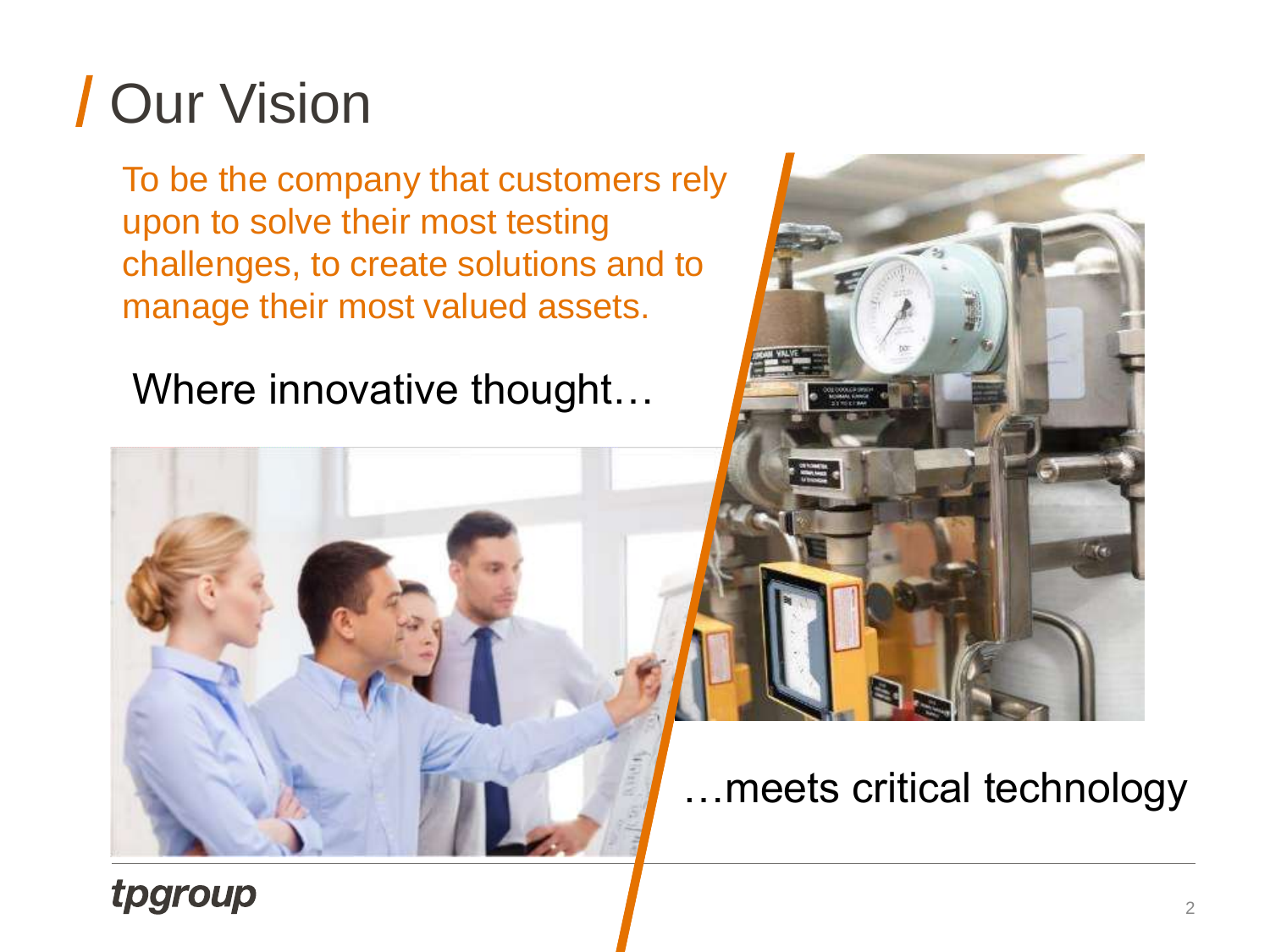## Our Vision

To be the company that customers rely upon to solve their most testing challenges, to create solutions and to manage their most valued assets.

Where innovative thought…





### …meets critical technology

### tpgroup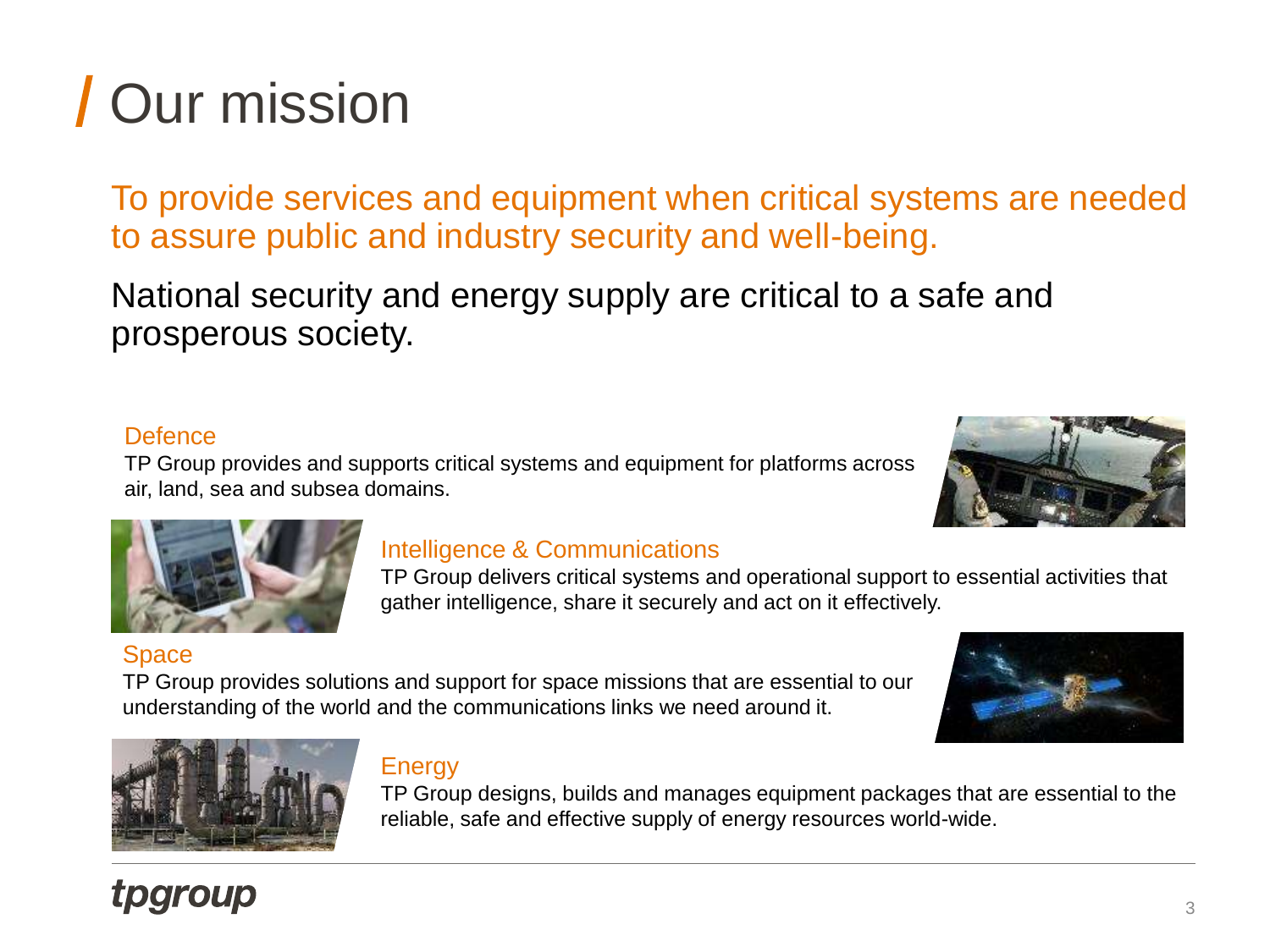## Our mission

To provide services and equipment when critical systems are needed to assure public and industry security and well-being.

National security and energy supply are critical to a safe and prosperous society.

#### **Defence**

TP Group provides and supports critical systems and equipment for platforms across air, land, sea and subsea domains.

#### Intelligence & Communications

TP Group delivers critical systems and operational support to essential activities that gather intelligence, share it securely and act on it effectively.

#### **Space**

**tpgroup** 

TP Group provides solutions and support for space missions that are essential to our understanding of the world and the communications links we need around it.



TP Group designs, builds and manages equipment packages that are essential to the reliable, safe and effective supply of energy resources world-wide.







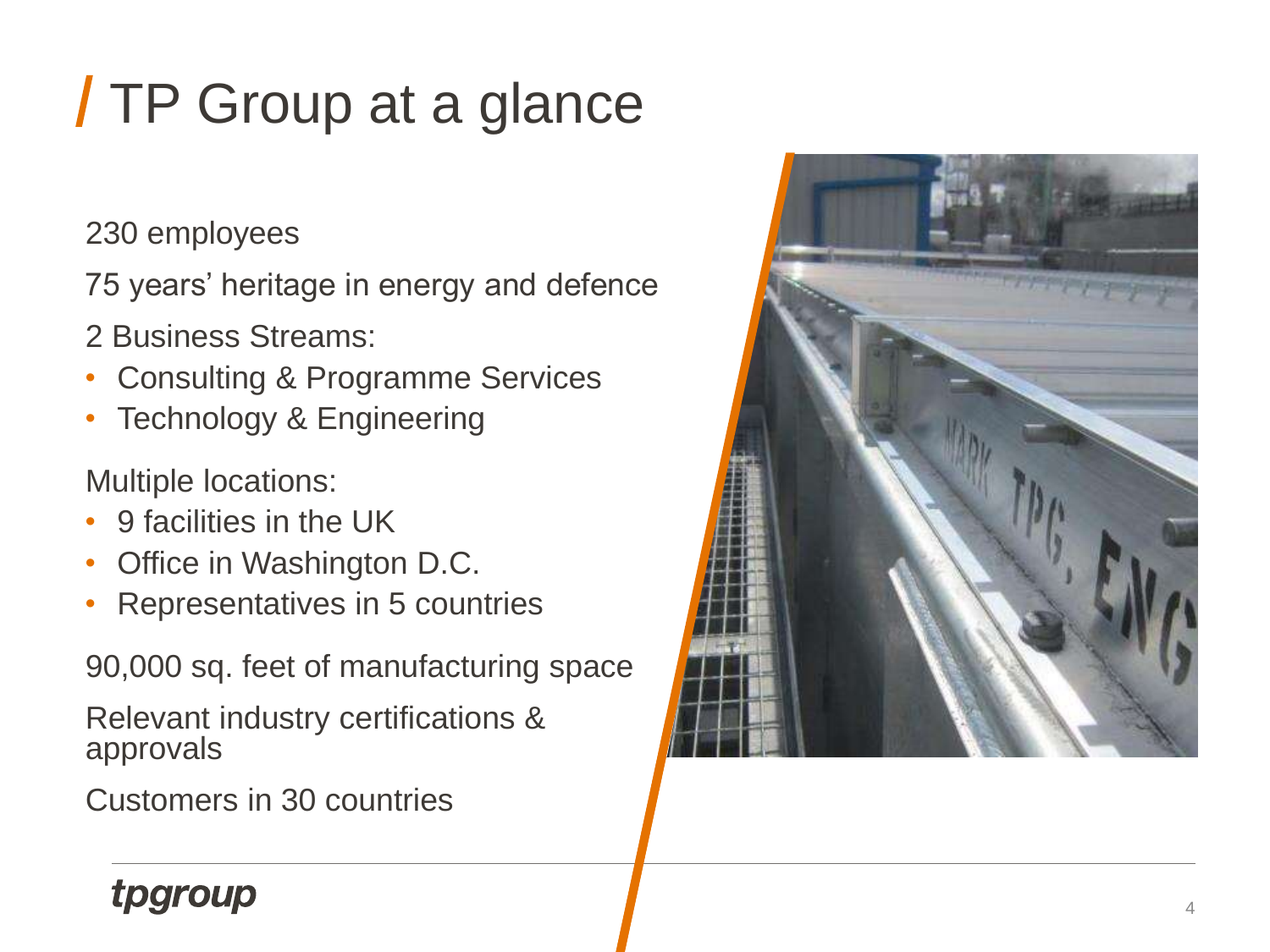## TP Group at a glance

230 employees

75 years' heritage in energy and defence

2 Business Streams:

- Consulting & Programme Services
- Technology & Engineering

Multiple locations:

- 9 facilities in the UK
- Office in Washington D.C.
- Representatives in 5 countries

90,000 sq. feet of manufacturing space

Relevant industry certifications & approvals

Customers in 30 countries



### tpgroup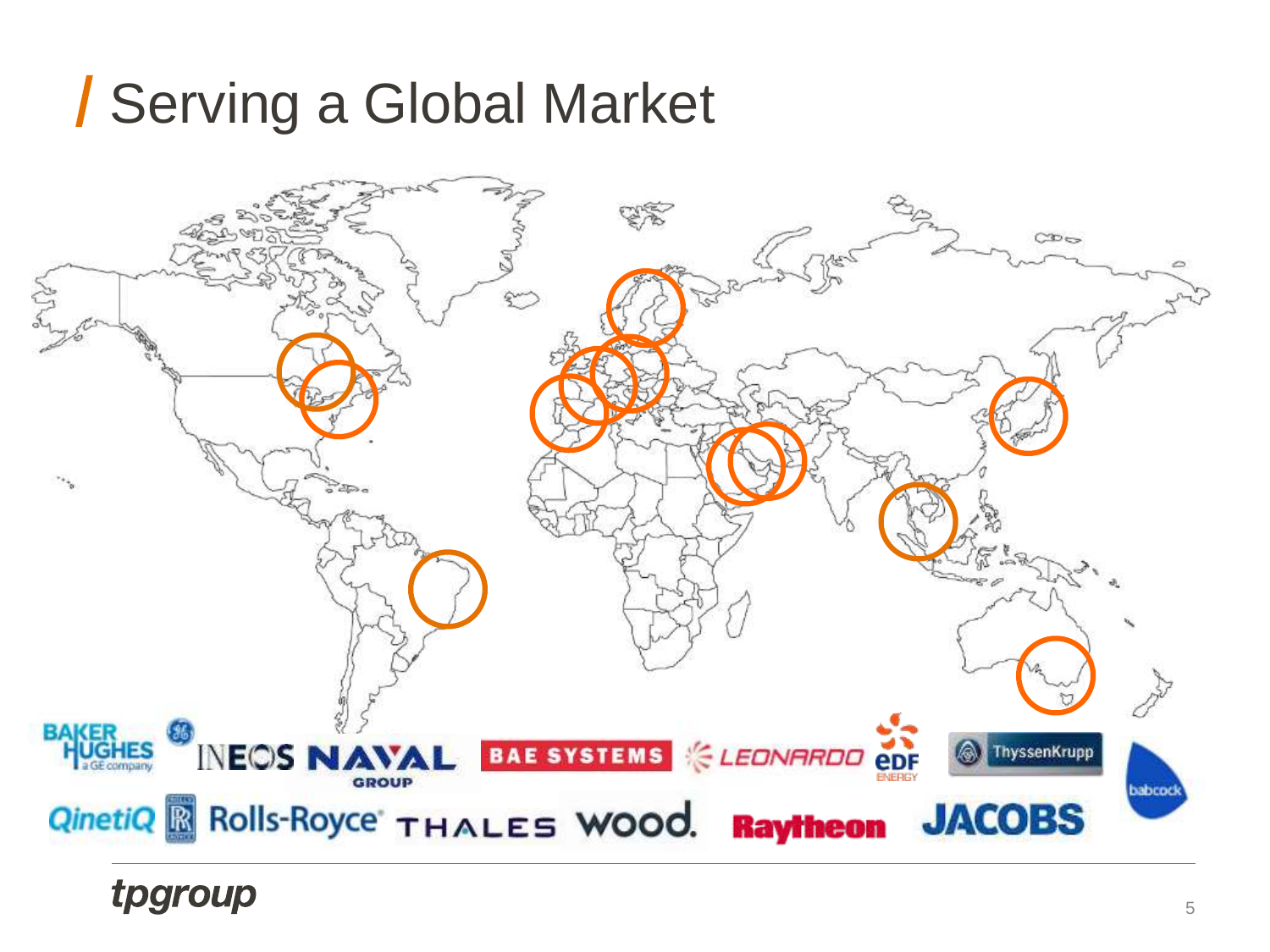### Serving a Global Market



tpgroup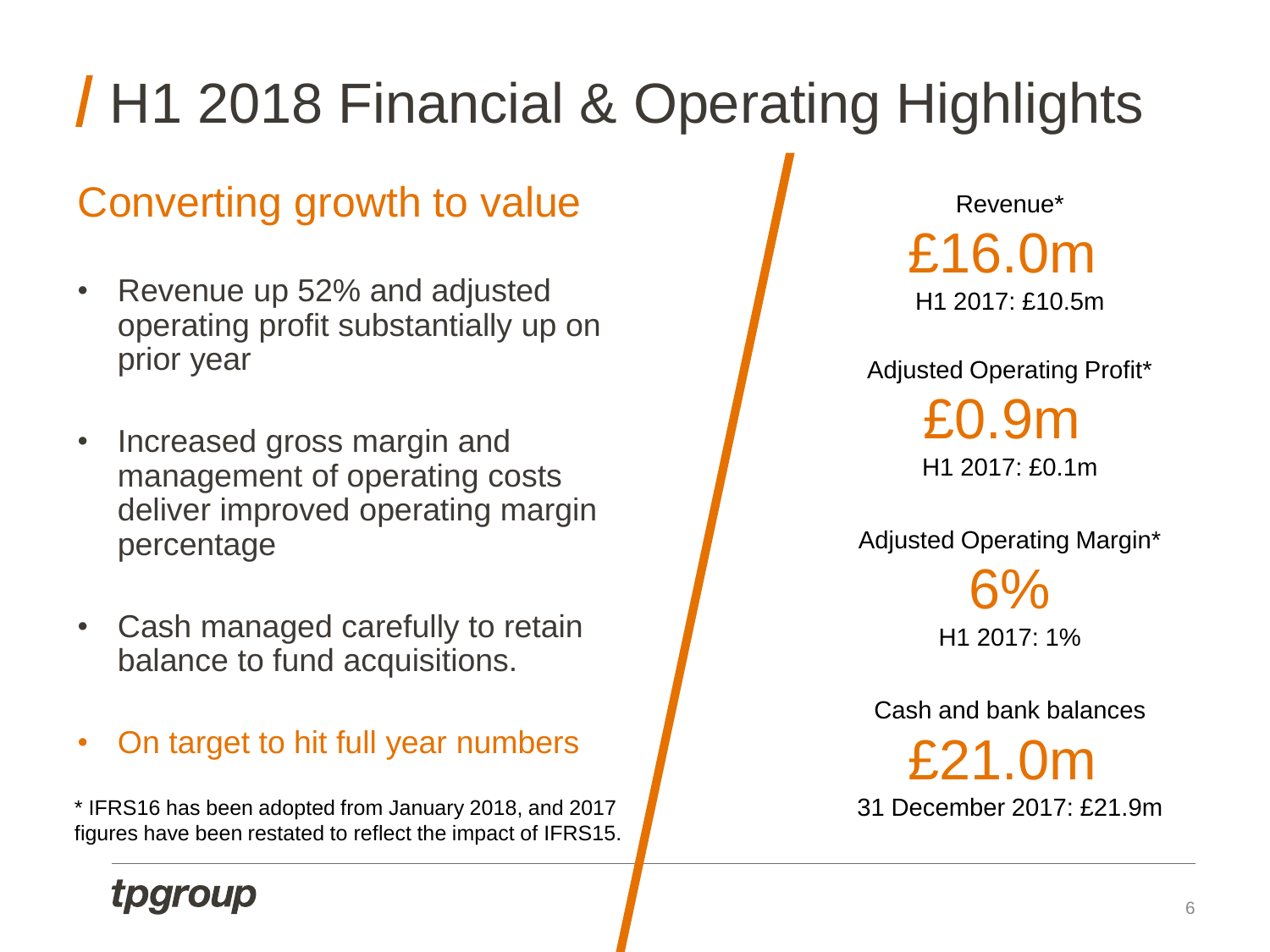## **H1 2018 Financial & Operating Highlights**

### Converting growth to value

- Revenue up 52% and adjusted operating profit substantially up on prior year
- Increased gross margin and management of operating costs deliver improved operating margin percentage
- Cash managed carefully to retain balance to fund acquisitions.
- On target to hit full year numbers

\* IFRS16 has been adopted from January 2018, and 2017 figures have been restated to reflect the impact of IFRS15.

Revenue\* £16.0m H1 2017: £10.5m

Adjusted Operating Profit\* £0.9m H1 2017: £0.1m

Adjusted Operating Margin\* 6%

H1 2017: 1%

Cash and bank balances

£21.0m 31 December 2017: £21.9m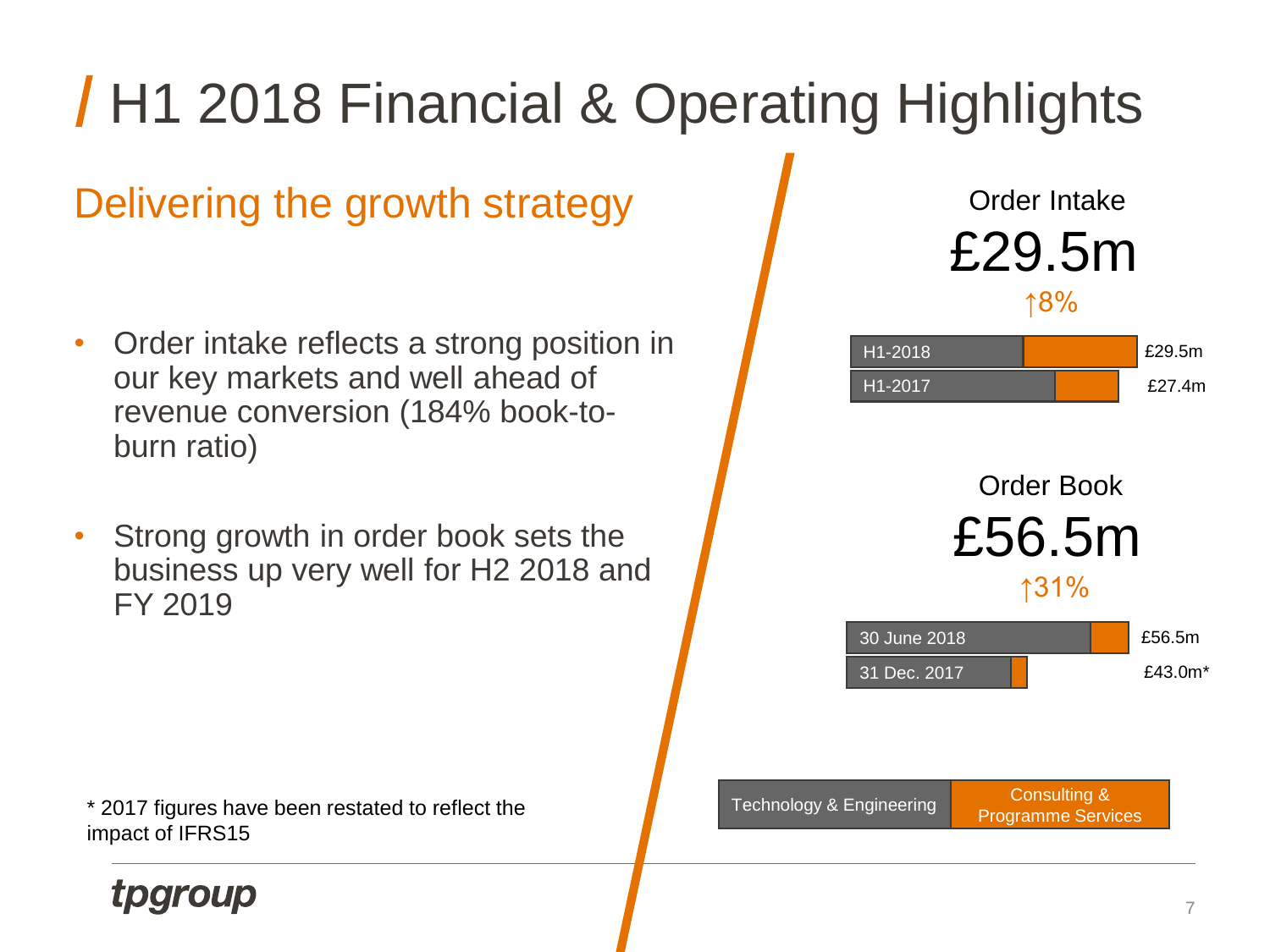

#### **Tpgroup**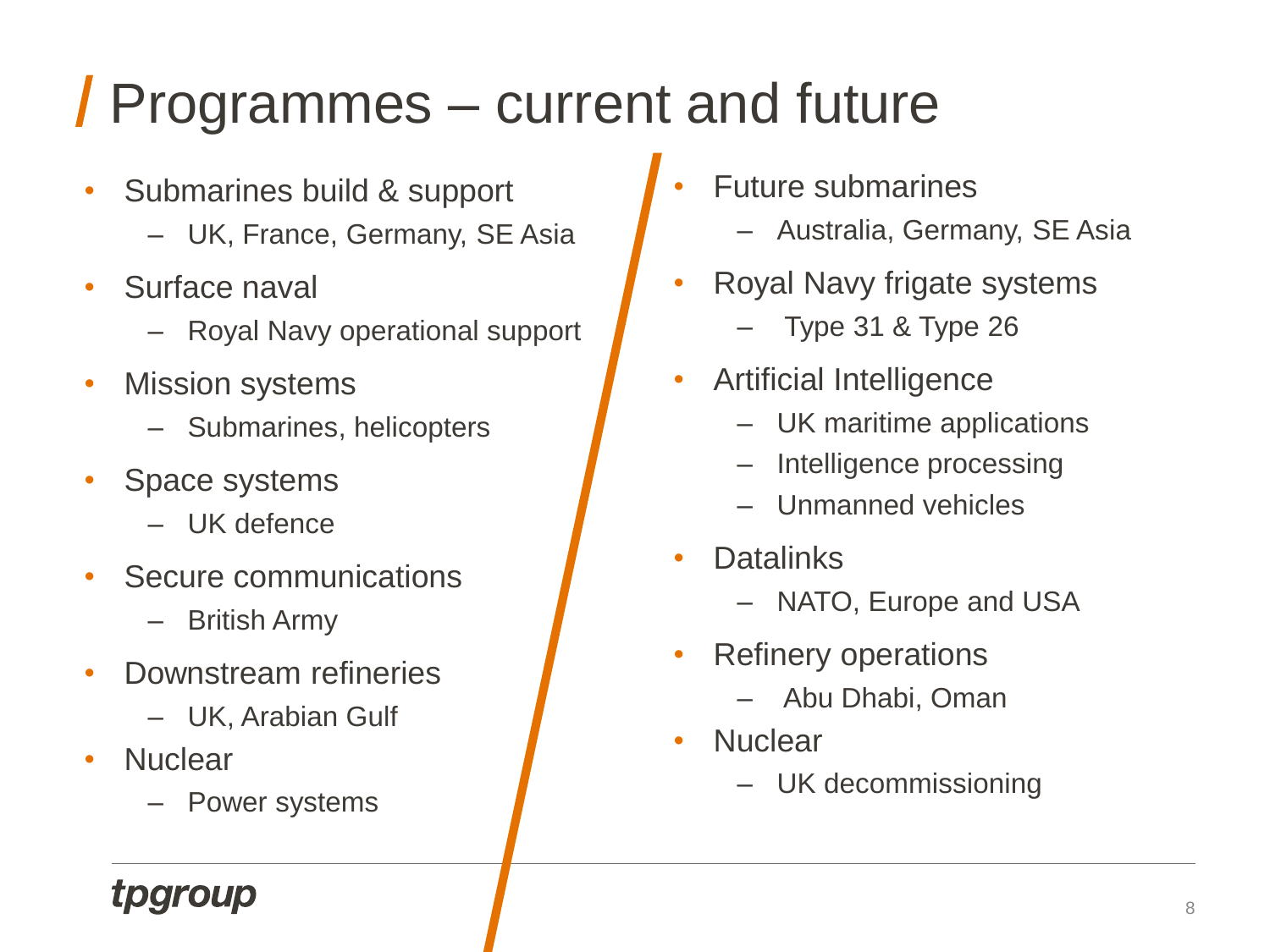## Programmes – current and future

- Submarines build & support
	- UK, France, Germany, SE Asia
- Surface naval
	- Royal Navy operational support
- **Mission systems** 
	- Submarines, helicopters
- Space systems
	- UK defence
- Secure communications
	- British Army
- Downstream refineries
	- UK, Arabian Gulf
- **Nuclear** 
	- Power systems
- Future submarines
	- Australia, Germany, SE Asia
- Royal Navy frigate systems
	- $-$  Type 31 & Type 26
- Artificial Intelligence
	- UK maritime applications
	- Intelligence processing
	- Unmanned vehicles
- **Datalinks** 
	- NATO, Europe and USA
- Refinery operations
	- Abu Dhabi, Oman
- **Nuclear** 
	- UK decommissioning

### tparoup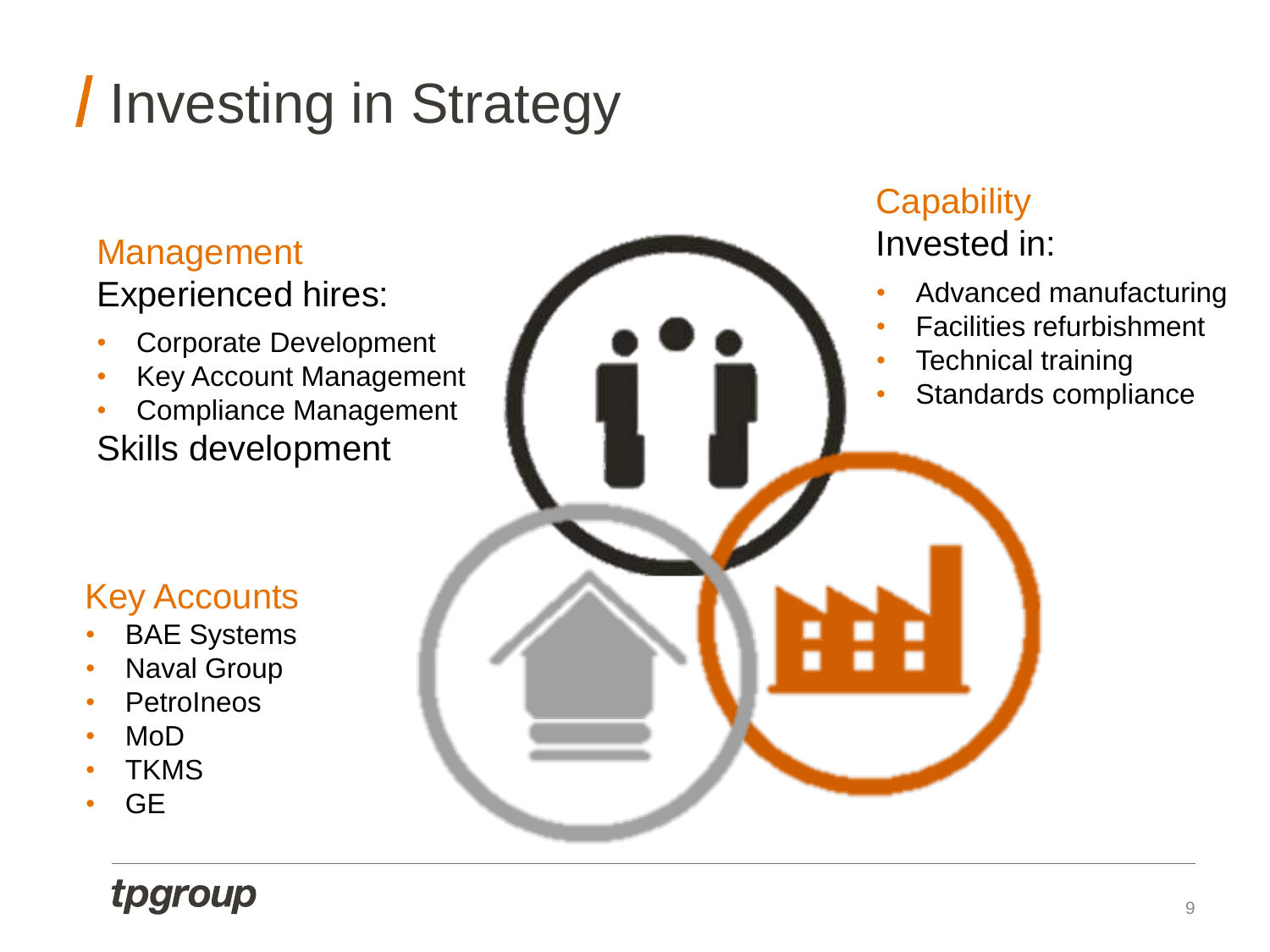## **/ Investing in Strategy**

### Management

Experienced hires:

- Corporate Development
- Key Account Management
- Compliance Management Skills development

#### Key Accounts

- **BAE Systems**
- Naval Group
- **PetroIneos**
- MoD
- **TKMS**
- GE

### tpgroup

### **Capability**

#### Invested in:

- Advanced manufacturing
- Facilities refurbishment
- **Technical training**
- Standards compliance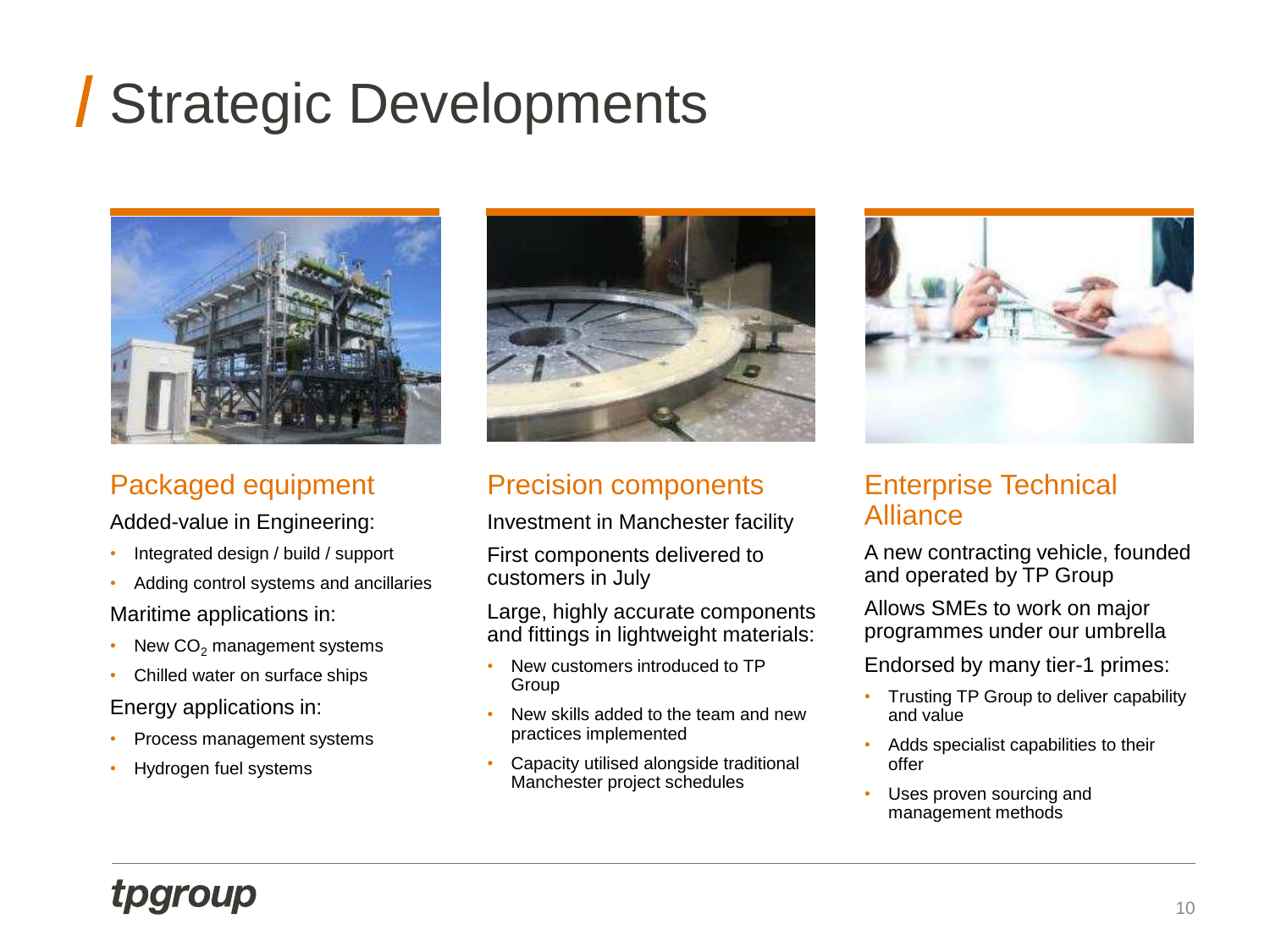## Strategic Developments



#### Packaged equipment

Added-value in Engineering:

- Integrated design / build / support
- Adding control systems and ancillaries Maritime applications in:
- New  $CO<sub>2</sub>$  management systems
- Chilled water on surface ships Energy applications in:
- Process management systems
- Hydrogen fuel systems



#### Precision components

Investment in Manchester facility

First components delivered to customers in July

Large, highly accurate components and fittings in lightweight materials:

- New customers introduced to TP Group
- New skills added to the team and new practices implemented
- Capacity utilised alongside traditional Manchester project schedules



#### Enterprise Technical Alliance

A new contracting vehicle, founded and operated by TP Group

Allows SMEs to work on major programmes under our umbrella

Endorsed by many tier-1 primes:

- Trusting TP Group to deliver capability and value
- Adds specialist capabilities to their offer
- Uses proven sourcing and management methods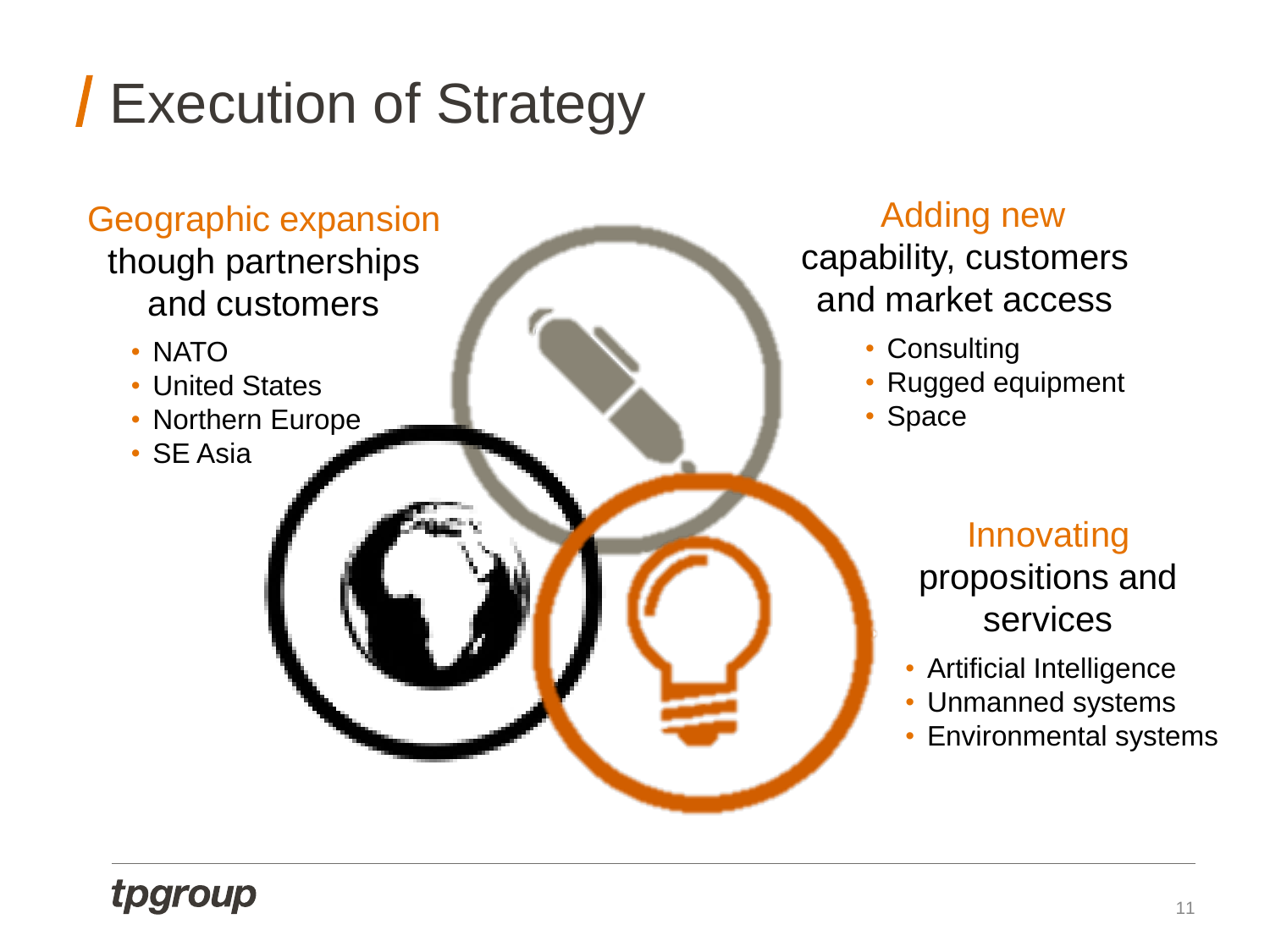## Execution of Strategy

#### Geographic expansion though partnerships and customers

- NATO
- United States
- Northern Europe
- SE Asia

#### Adding new

capability, customers and market access

- Consulting
- Rugged equipment
- Space

#### Innovating propositions and services

- Artificial Intelligence
- Unmanned systems
- Environmental systems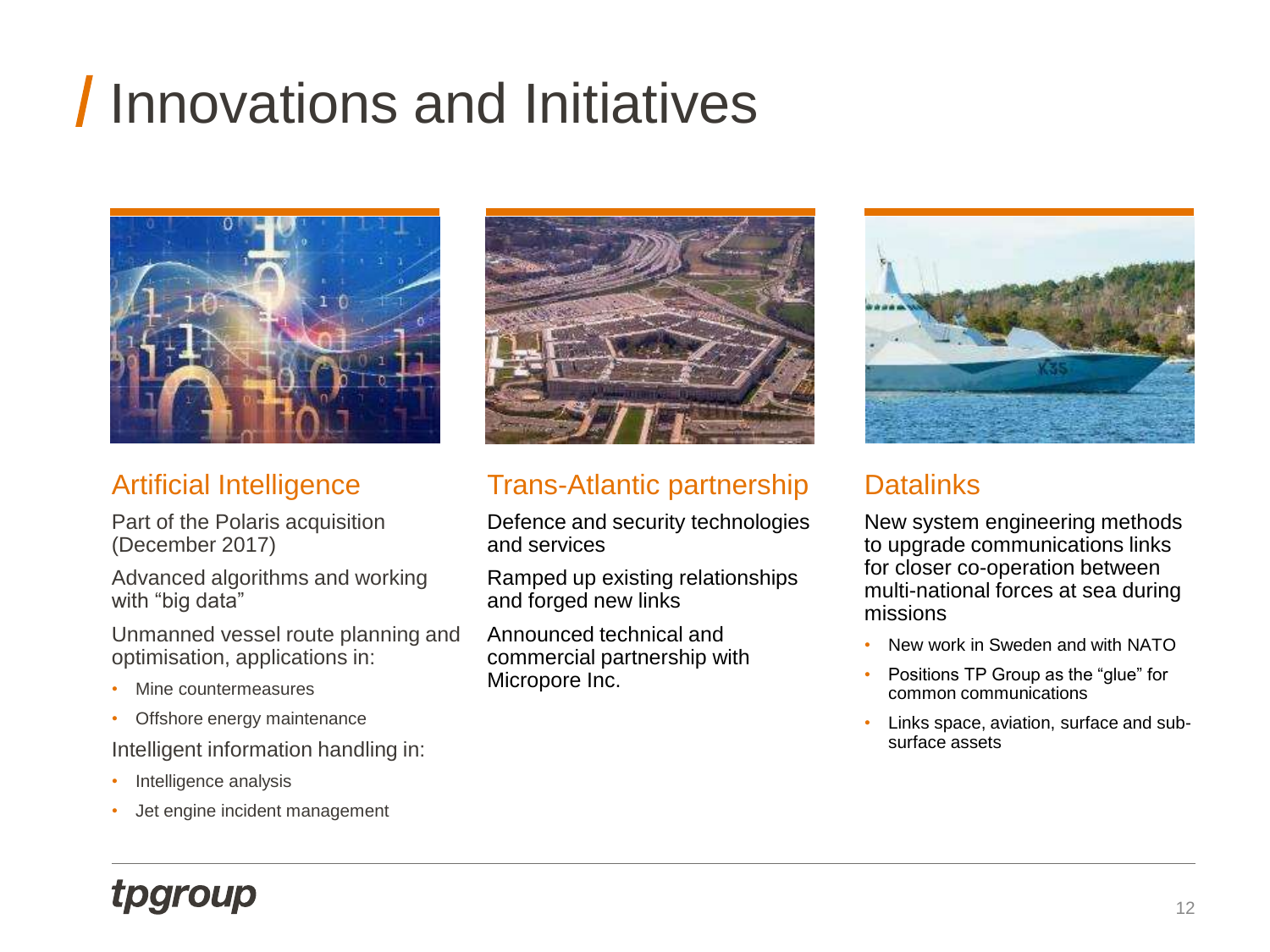## **I** Innovations and Initiatives



#### Artificial Intelligence

Part of the Polaris acquisition (December 2017)

Advanced algorithms and working with "big data"

Unmanned vessel route planning and optimisation, applications in:

- Mine countermeasures
- Offshore energy maintenance

Intelligent information handling in:

- Intelligence analysis
- Jet engine incident management



#### Trans-Atlantic partnership

Defence and security technologies and services

Ramped up existing relationships and forged new links

Announced technical and commercial partnership with Micropore Inc.



#### **Datalinks**

New system engineering methods to upgrade communications links for closer co-operation between multi-national forces at sea during missions

- New work in Sweden and with NATO
- Positions TP Group as the "glue" for common communications
- Links space, aviation, surface and subsurface assets

### tpgroup